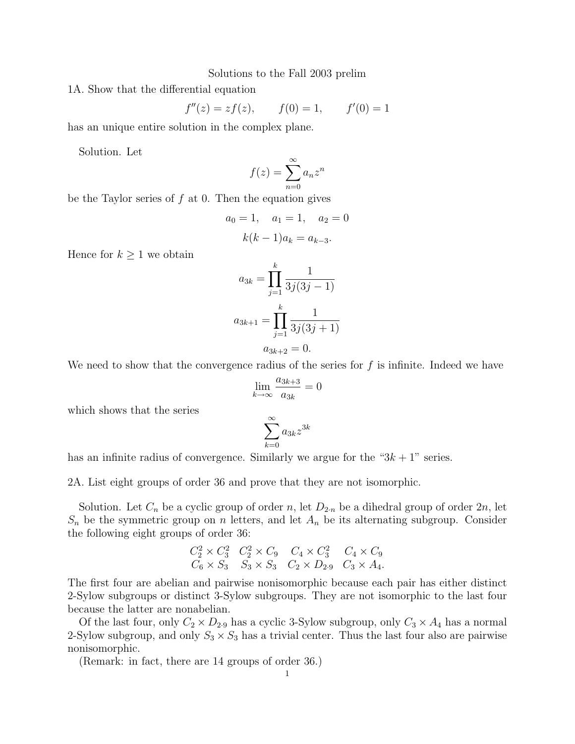Solutions to the Fall 2003 prelim

1A. Show that the differential equation

$$
f''(z) = zf(z)
$$
,  $f(0) = 1$ ,  $f'(0) = 1$ 

has an unique entire solution in the complex plane.

Solution. Let

$$
f(z) = \sum_{n=0}^{\infty} a_n z^n
$$

be the Taylor series of  $f$  at 0. Then the equation gives

$$
a_0 = 1
$$
,  $a_1 = 1$ ,  $a_2 = 0$   
 $k(k-1)a_k = a_{k-3}$ .

Hence for  $k \geq 1$  we obtain

$$
a_{3k} = \prod_{j=1}^{k} \frac{1}{3j(3j-1)}
$$

$$
a_{3k+1} = \prod_{j=1}^{k} \frac{1}{3j(3j+1)}
$$

$$
a_{3k+2} = 0.
$$

We need to show that the convergence radius of the series for  $f$  is infinite. Indeed we have

$$
\lim_{k \to \infty} \frac{a_{3k+3}}{a_{3k}} = 0
$$

which shows that the series

$$
\sum_{k=0}^{\infty} a_{3k} z^{3k}
$$

has an infinite radius of convergence. Similarly we argue for the " $3k + 1$ " series.

2A. List eight groups of order 36 and prove that they are not isomorphic.

Solution. Let  $C_n$  be a cyclic group of order n, let  $D_{2n}$  be a dihedral group of order  $2n$ , let  $S_n$  be the symmetric group on n letters, and let  $A_n$  be its alternating subgroup. Consider the following eight groups of order 36:

$$
C_2^2 \times C_3^2 \quad C_2^2 \times C_9 \quad C_4 \times C_3^2 \quad C_4 \times C_9
$$
  

$$
C_6 \times S_3 \quad S_3 \times S_3 \quad C_2 \times D_{2.9} \quad C_3 \times A_4.
$$

The first four are abelian and pairwise nonisomorphic because each pair has either distinct 2-Sylow subgroups or distinct 3-Sylow subgroups. They are not isomorphic to the last four because the latter are nonabelian.

Of the last four, only  $C_2 \times D_{2.9}$  has a cyclic 3-Sylow subgroup, only  $C_3 \times A_4$  has a normal 2-Sylow subgroup, and only  $S_3 \times S_3$  has a trivial center. Thus the last four also are pairwise nonisomorphic.

(Remark: in fact, there are 14 groups of order 36.)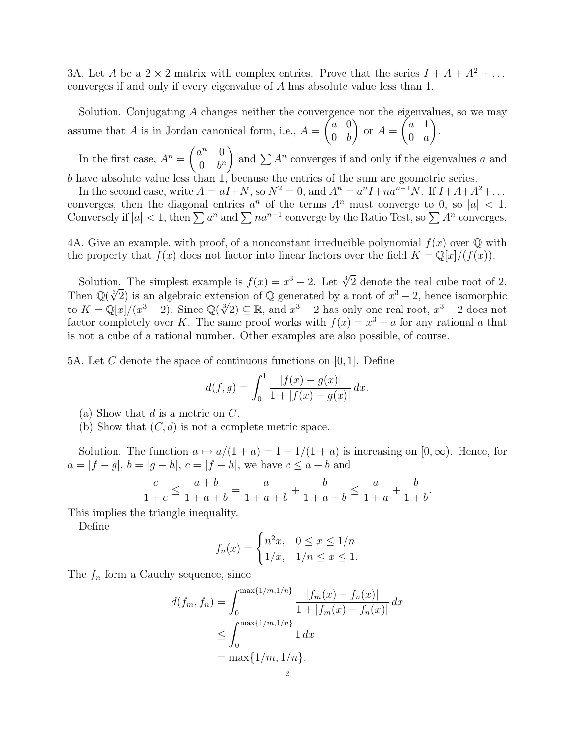3A. Let A be a  $2 \times 2$  matrix with complex entries. Prove that the series  $I + A + A^2 + ...$ converges if and only if every eigenvalue of A has absolute value less than 1.

Solution. Conjugating A changes neither the convergence nor the eigenvalues, so we may assume that  $A$  is in Jordan canonical form, i.e.,  $A =$  $\int a \, 0$  $0 \quad b$  $\setminus$ or  $A =$  $\int a 1$  $0 \quad a$  $\setminus$ .

In the first case,  $A^n = \begin{pmatrix} a^n & 0 \\ 0 & b^n \end{pmatrix}$  $0 \quad b^n$ ) and  $\sum A^n$  converges if and only if the eigenvalues a and b have absolute value less than  $1$ , because the entries of the sum are geometric series.

In the second case, write  $A = aI + N$ , so  $N^2 = 0$ , and  $A^n = a^nI + na^{n-1}N$ . If  $I + A + A^2 + ...$ converges, then the diagonal entries  $a^n$  of the terms  $A^n$  must converge to 0, so  $|a| < 1$ . Conversely if  $|a| < 1$ , then  $\sum a^n$  and  $\sum na^{n-1}$  converge by the Ratio Test, so  $\sum A^n$  converges.

4A. Give an example, with proof, of a nonconstant irreducible polynomial  $f(x)$  over  $\mathbb Q$  with the property that  $f(x)$  does not factor into linear factors over the field  $K = \mathbb{Q}[x]/(f(x)).$ 

Solution. The simplest example is  $f(x) = x^3 - 2$ . Let  $\sqrt[3]{2}$  denote the real cube root of 2. Solution. The simplest example is  $f(x) = x^2 - 2$ . Let  $\sqrt{2}$  denote the real cube root of 2.<br>Then  $\mathbb{Q}(\sqrt[3]{2})$  is an algebraic extension of  $\mathbb{Q}$  generated by a root of  $x^3 - 2$ , hence isomorphic to  $K = \mathbb{Q}[x]/(x^3 - 2)$ . Since  $\mathbb{Q}(\sqrt[3]{2}) \subseteq \mathbb{R}$ , and  $x^3 - 2$  has only one real root,  $x^3 - 2$  does not factor completely over K. The same proof works with  $f(x) = x^3 - a$  for any rational a that is not a cube of a rational number. Other examples are also possible, of course.

5A. Let C denote the space of continuous functions on  $[0, 1]$ . Define

$$
d(f,g) = \int_0^1 \frac{|f(x) - g(x)|}{1 + |f(x) - g(x)|} dx.
$$

- (a) Show that  $d$  is a metric on  $C$ .
- (b) Show that  $(C, d)$  is not a complete metric space.

Solution. The function  $a \mapsto a/(1 + a) = 1 - 1/(1 + a)$  is increasing on  $[0, \infty)$ . Hence, for  $a = |f - g|, b = |g - h|, c = |f - h|$ , we have  $c \le a + b$  and

$$
\frac{c}{1+c} \le \frac{a+b}{1+a+b} = \frac{a}{1+a+b} + \frac{b}{1+a+b} \le \frac{a}{1+a} + \frac{b}{1+b}.
$$

This implies the triangle inequality.

Define

$$
f_n(x) = \begin{cases} n^2 x, & 0 \le x \le 1/n \\ 1/x, & 1/n \le x \le 1. \end{cases}
$$

The  $f_n$  form a Cauchy sequence, since

$$
d(f_m, f_n) = \int_0^{\max\{1/m, 1/n\}} \frac{|f_m(x) - f_n(x)|}{1 + |f_m(x) - f_n(x)|} dx
$$
  
\n
$$
\leq \int_0^{\max\{1/m, 1/n\}} 1 dx
$$
  
\n
$$
= \max\{1/m, 1/n\}.
$$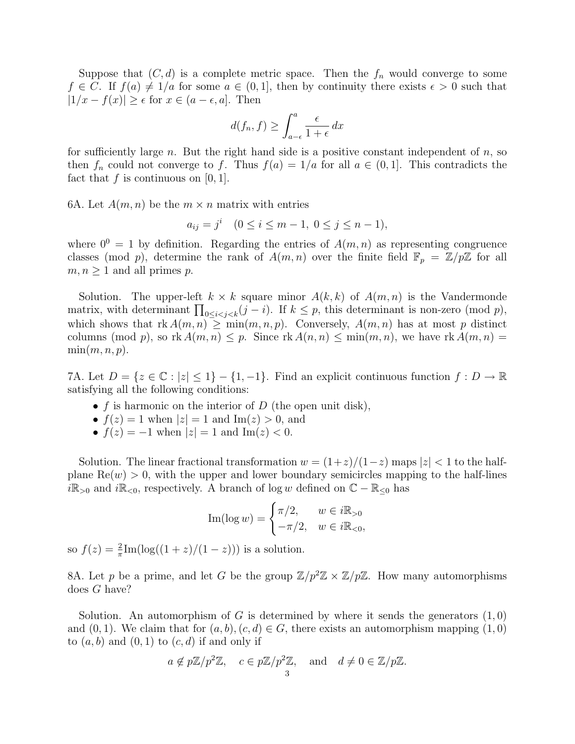Suppose that  $(C, d)$  is a complete metric space. Then the  $f_n$  would converge to some  $f \in C$ . If  $f(a) \neq 1/a$  for some  $a \in (0,1]$ , then by continuity there exists  $\epsilon > 0$  such that  $|1/x - f(x)| \geq \epsilon$  for  $x \in (a - \epsilon, a]$ . Then

$$
d(f_n, f) \ge \int_{a-\epsilon}^a \frac{\epsilon}{1+\epsilon} dx
$$

for sufficiently large n. But the right hand side is a positive constant independent of  $n$ , so then  $f_n$  could not converge to f. Thus  $f(a) = 1/a$  for all  $a \in (0, 1]$ . This contradicts the fact that  $f$  is continuous on [0, 1].

6A. Let  $A(m, n)$  be the  $m \times n$  matrix with entries

$$
a_{ij} = j^i \quad (0 \le i \le m-1, \ 0 \le j \le n-1),
$$

where  $0^0 = 1$  by definition. Regarding the entries of  $A(m, n)$  as representing congruence classes (mod p), determine the rank of  $A(m, n)$  over the finite field  $\mathbb{F}_p = \mathbb{Z}/p\mathbb{Z}$  for all  $m, n \geq 1$  and all primes p.

Solution. The upper-left  $k \times k$  square minor  $A(k, k)$  of  $A(m, n)$  is the Vandermonde matrix, with determinant  $\prod_{0 \leq i < j < k} (j - i)$ . If  $k \leq p$ , this determinant is non-zero (mod p), which shows that  $rk A(m, n) \geq min(m, n, p)$ . Conversely,  $A(m, n)$  has at most p distinct columns (mod p), so  $rk A(m, n) \leq p$ . Since  $rk A(n, n) \leq \min(m, n)$ , we have  $rk A(m, n) =$  $\min(m, n, p).$ 

7A. Let  $D = \{z \in \mathbb{C} : |z| \leq 1\} - \{1, -1\}$ . Find an explicit continuous function  $f : D \to \mathbb{R}$ satisfying all the following conditions:

- f is harmonic on the interior of  $D$  (the open unit disk),
- $f(z) = 1$  when  $|z| = 1$  and Im $(z) > 0$ , and
- $f(z) = -1$  when  $|z| = 1$  and  $\text{Im}(z) < 0$ .

Solution. The linear fractional transformation  $w = (1+z)/(1-z)$  maps  $|z| < 1$  to the halfplane  $\text{Re}(w) > 0$ , with the upper and lower boundary semicircles mapping to the half-lines  $i\mathbb{R}_{>0}$  and  $i\mathbb{R}_{<0}$ , respectively. A branch of log w defined on  $\mathbb{C} - \mathbb{R}_{\leq 0}$  has

$$
\operatorname{Im}(\log w) = \begin{cases} \pi/2, & w \in i\mathbb{R}_{>0} \\ -\pi/2, & w \in i\mathbb{R}_{<0}, \end{cases}
$$

so  $f(z) = \frac{2}{\pi} \text{Im}(\log((1+z)/(1-z)))$  is a solution.

8A. Let p be a prime, and let G be the group  $\mathbb{Z}/p^2\mathbb{Z} \times \mathbb{Z}/p\mathbb{Z}$ . How many automorphisms does G have?

Solution. An automorphism of G is determined by where it sends the generators  $(1,0)$ and  $(0, 1)$ . We claim that for  $(a, b), (c, d) \in G$ , there exists an automorphism mapping  $(1, 0)$ to  $(a, b)$  and  $(0, 1)$  to  $(c, d)$  if and only if

$$
a \notin p\mathbb{Z}/p^2\mathbb{Z}, c \in p\mathbb{Z}/p^2\mathbb{Z}, \text{and } d \neq 0 \in \mathbb{Z}/p\mathbb{Z}.
$$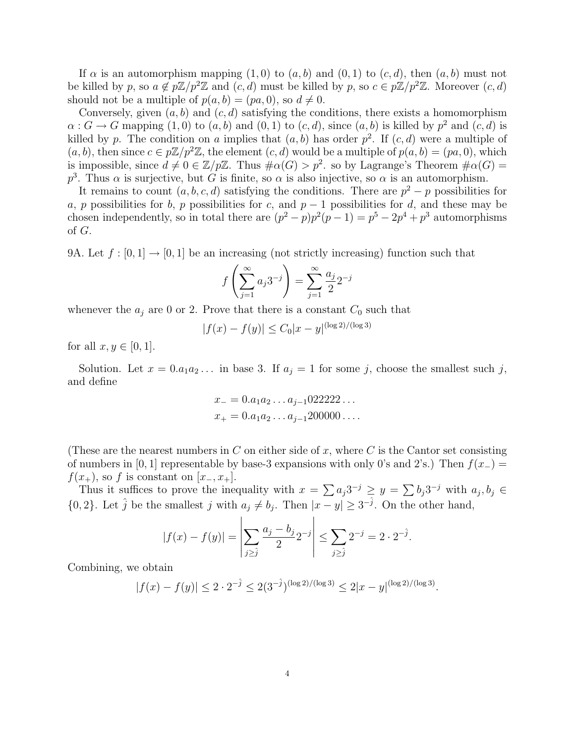If  $\alpha$  is an automorphism mapping  $(1,0)$  to  $(a, b)$  and  $(0, 1)$  to  $(c, d)$ , then  $(a, b)$  must not be killed by p, so  $a \notin p\mathbb{Z}/p^2\mathbb{Z}$  and  $(c, d)$  must be killed by p, so  $c \in p\mathbb{Z}/p^2\mathbb{Z}$ . Moreover  $(c, d)$ should not be a multiple of  $p(a, b) = (pa, 0)$ , so  $d \neq 0$ .

Conversely, given  $(a, b)$  and  $(c, d)$  satisfying the conditions, there exists a homomorphism  $\alpha: G \to G$  mapping  $(1,0)$  to  $(a,b)$  and  $(0,1)$  to  $(c,d)$ , since  $(a,b)$  is killed by  $p^2$  and  $(c,d)$  is killed by p. The condition on a implies that  $(a, b)$  has order  $p^2$ . If  $(c, d)$  were a multiple of  $(a, b)$ , then since  $c \in p\mathbb{Z}/p^2\mathbb{Z}$ , the element  $(c, d)$  would be a multiple of  $p(a, b) = (pa, 0)$ , which is impossible, since  $d \neq 0 \in \mathbb{Z}/p\mathbb{Z}$ . Thus  $\#\alpha(G) > p^2$ . so by Lagrange's Theorem  $\#\alpha(G) =$  $p<sup>3</sup>$ . Thus  $\alpha$  is surjective, but G is finite, so  $\alpha$  is also injective, so  $\alpha$  is an automorphism.

It remains to count  $(a, b, c, d)$  satisfying the conditions. There are  $p^2 - p$  possibilities for a, p possibilities for b, p possibilities for c, and  $p-1$  possibilities for d, and these may be chosen independently, so in total there are  $(p^2 - p)p^2(p-1) = p^5 - 2p^4 + p^3$  automorphisms of G.

9A. Let  $f : [0,1] \to [0,1]$  be an increasing (not strictly increasing) function such that

$$
f\left(\sum_{j=1}^{\infty} a_j 3^{-j}\right) = \sum_{j=1}^{\infty} \frac{a_j}{2} 2^{-j}
$$

whenever the  $a_i$  are 0 or 2. Prove that there is a constant  $C_0$  such that

$$
|f(x) - f(y)| \le C_0 |x - y|^{(\log 2)/(\log 3)}
$$

for all  $x, y \in [0, 1]$ .

Solution. Let  $x = 0.a_1a_2...$  in base 3. If  $a_j = 1$  for some j, choose the smallest such j, and define

$$
x_{-} = 0.a_{1}a_{2} \dots a_{j-1}022222\dots
$$
  

$$
x_{+} = 0.a_{1}a_{2} \dots a_{j-1}200000\dots
$$

(These are the nearest numbers in C on either side of x, where C is the Cantor set consisting of numbers in [0, 1] representable by base-3 expansions with only 0's and 2's.) Then  $f(x_+)$  =  $f(x_{+})$ , so f is constant on [x\_, x<sub>+</sub>].

Thus it suffices to prove the inequality with  $x = \sum a_j 3^{-j} \ge y = \sum b_j 3^{-j}$  with  $a_j, b_j \in$  $\{0, 2\}$ . Let  $\hat{j}$  be the smallest j with  $a_j \neq b_j$ . Then  $|x - y| \geq 3^{-\hat{j}}$ . On the other hand,

$$
|f(x) - f(y)| = \left| \sum_{j \geq j} \frac{a_j - b_j}{2} 2^{-j} \right| \leq \sum_{j \geq j} 2^{-j} = 2 \cdot 2^{-j}.
$$

Combining, we obtain

$$
|f(x) - f(y)| \le 2 \cdot 2^{-\hat{j}} \le 2(3^{-\hat{j}})^{(\log 2)/(\log 3)} \le 2|x - y|^{\log 2)/(\log 3)}.
$$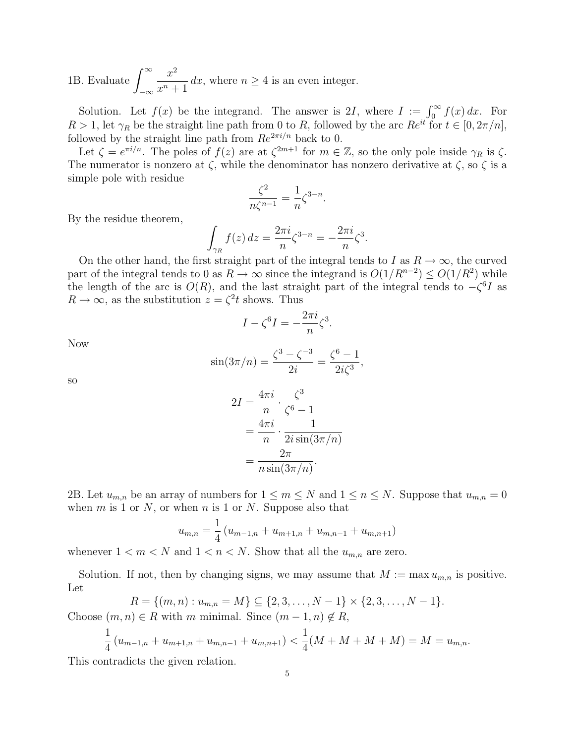1B. Evaluate  $\int_{0}^{\infty}$  $-\infty$  $x^2$  $x^n + 1$ dx, where  $n \geq 4$  is an even integer.

Solution. Let  $f(x)$  be the integrand. The answer is 2I, where  $I := \int_0^\infty f(x) dx$ . For  $R > 1$ , let  $\gamma_R$  be the straight line path from 0 to R, followed by the arc  $Re^{it}$  for  $t \in [0, 2\pi/n]$ . followed by the straight line path from  $Re^{2\pi i/n}$  back to 0.

Let  $\zeta = e^{\pi i/n}$ . The poles of  $f(z)$  are at  $\zeta^{2m+1}$  for  $m \in \mathbb{Z}$ , so the only pole inside  $\gamma_R$  is  $\zeta$ . The numerator is nonzero at  $\zeta$ , while the denominator has nonzero derivative at  $\zeta$ , so  $\zeta$  is a simple pole with residue

$$
\frac{\zeta^2}{n\zeta^{n-1}} = \frac{1}{n}\zeta^{3-n}
$$

.

By the residue theorem,

$$
\int_{\gamma_R} f(z) dz = \frac{2\pi i}{n} \zeta^{3-n} = -\frac{2\pi i}{n} \zeta^3.
$$

On the other hand, the first straight part of the integral tends to I as  $R \to \infty$ , the curved part of the integral tends to 0 as  $R \to \infty$  since the integrand is  $O(1/R^{n-2}) \leq O(1/R^2)$  while the length of the arc is  $O(R)$ , and the last straight part of the integral tends to  $-\zeta^6 I$  as  $R \to \infty$ , as the substitution  $z = \zeta^2 t$  shows. Thus

$$
I - \zeta^6 I = -\frac{2\pi i}{n} \zeta^3.
$$

Now

$$
\sin(3\pi/n) = \frac{\zeta^3 - \zeta^{-3}}{2i} = \frac{\zeta^6 - 1}{2i\zeta^3},
$$

so

$$
2I = \frac{4\pi i}{n} \cdot \frac{\zeta^3}{\zeta^6 - 1}
$$

$$
= \frac{4\pi i}{n} \cdot \frac{1}{2i \sin(3\pi/n)}
$$

$$
= \frac{2\pi}{n \sin(3\pi/n)}.
$$

2B. Let  $u_{m,n}$  be an array of numbers for  $1 \leq m \leq N$  and  $1 \leq n \leq N$ . Suppose that  $u_{m,n} = 0$ when  $m$  is 1 or  $N$ , or when  $n$  is 1 or  $N$ . Suppose also that

$$
u_{m,n} = \frac{1}{4} (u_{m-1,n} + u_{m+1,n} + u_{m,n-1} + u_{m,n+1})
$$

whenever  $1 < m < N$  and  $1 < n < N$ . Show that all the  $u_{m,n}$  are zero.

Solution. If not, then by changing signs, we may assume that  $M := \max u_{m,n}$  is positive. Let

$$
R = \{(m, n) : u_{m,n} = M\} \subseteq \{2, 3, \dots, N-1\} \times \{2, 3, \dots, N-1\}.
$$

Choose  $(m, n) \in R$  with m minimal. Since  $(m - 1, n) \notin R$ ,

$$
\frac{1}{4}(u_{m-1,n} + u_{m+1,n} + u_{m,n-1} + u_{m,n+1}) < \frac{1}{4}(M + M + M + M) = M = u_{m,n}.
$$

This contradicts the given relation.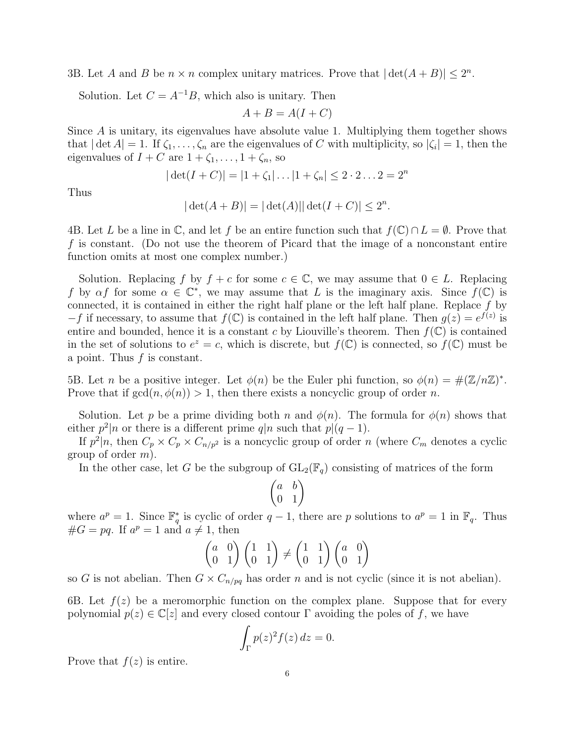3B. Let A and B be  $n \times n$  complex unitary matrices. Prove that  $|\det(A + B)| \leq 2^n$ .

Solution. Let  $C = A^{-1}B$ , which also is unitary. Then

$$
A + B = A(I + C)
$$

Since A is unitary, its eigenvalues have absolute value 1. Multiplying them together shows that  $|\det A| = 1$ . If  $\zeta_1, \ldots, \zeta_n$  are the eigenvalues of C with multiplicity, so  $|\zeta_i| = 1$ , then the eigenvalues of  $I + C$  are  $1 + \zeta_1, \ldots, 1 + \zeta_n$ , so

$$
|\det(I+C)| = |1+\zeta_1| \dots |1+\zeta_n| \le 2 \cdot 2 \dots 2 = 2^n
$$

Thus

$$
|\det(A + B)| = |\det(A)| |\det(I + C)| \le 2^n.
$$

4B. Let L be a line in  $\mathbb{C}$ , and let f be an entire function such that  $f(\mathbb{C}) \cap L = \emptyset$ . Prove that f is constant. (Do not use the theorem of Picard that the image of a nonconstant entire function omits at most one complex number.)

Solution. Replacing f by  $f + c$  for some  $c \in \mathbb{C}$ , we may assume that  $0 \in L$ . Replacing f by  $\alpha f$  for some  $\alpha \in \mathbb{C}^*$ , we may assume that L is the imaginary axis. Since  $f(\mathbb{C})$  is connected, it is contained in either the right half plane or the left half plane. Replace  $f$  by  $-f$  if necessary, to assume that  $f(\mathbb{C})$  is contained in the left half plane. Then  $g(z) = e^{f(z)}$  is entire and bounded, hence it is a constant c by Liouville's theorem. Then  $f(\mathbb{C})$  is contained in the set of solutions to  $e^z = c$ , which is discrete, but  $f(\mathbb{C})$  is connected, so  $f(\mathbb{C})$  must be a point. Thus  $f$  is constant.

5B. Let *n* be a positive integer. Let  $\phi(n)$  be the Euler phi function, so  $\phi(n) = \#(\mathbb{Z}/n\mathbb{Z})^*$ . Prove that if  $gcd(n, \phi(n)) > 1$ , then there exists a noncyclic group of order n.

Solution. Let p be a prime dividing both n and  $\phi(n)$ . The formula for  $\phi(n)$  shows that either  $p^2|n$  or there is a different prime  $q|n$  such that  $p|(q-1)$ .

If  $p^2|n$ , then  $C_p \times C_p \times C_{n/p^2}$  is a noncyclic group of order n (where  $C_m$  denotes a cyclic group of order  $m$ ).

In the other case, let G be the subgroup of  $GL_2(\mathbb{F}_q)$  consisting of matrices of the form



where  $a^p = 1$ . Since  $\mathbb{F}_q^*$  is cyclic of order  $q-1$ , there are p solutions to  $a^p = 1$  in  $\mathbb{F}_q$ . Thus  $\#G = pq.$  If  $a^p = 1$  and  $a \neq 1$ , then

$$
\begin{pmatrix} a & 0 \\ 0 & 1 \end{pmatrix} \begin{pmatrix} 1 & 1 \\ 0 & 1 \end{pmatrix} \neq \begin{pmatrix} 1 & 1 \\ 0 & 1 \end{pmatrix} \begin{pmatrix} a & 0 \\ 0 & 1 \end{pmatrix}
$$

so G is not abelian. Then  $G \times C_{n/pq}$  has order n and is not cyclic (since it is not abelian).

6B. Let  $f(z)$  be a meromorphic function on the complex plane. Suppose that for every polynomial  $p(z) \in \mathbb{C}[z]$  and every closed contour  $\Gamma$  avoiding the poles of f, we have

$$
\int_{\Gamma} p(z)^2 f(z) \, dz = 0.
$$

Prove that  $f(z)$  is entire.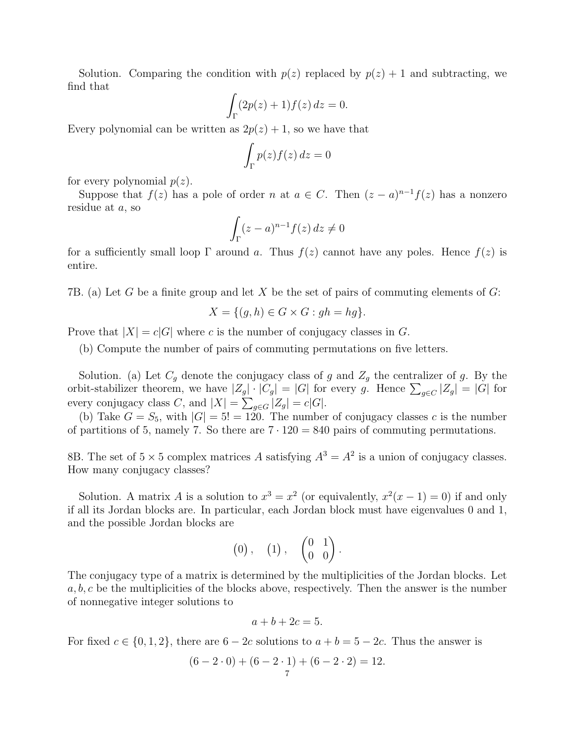Solution. Comparing the condition with  $p(z)$  replaced by  $p(z) + 1$  and subtracting, we find that

$$
\int_{\Gamma} (2p(z) + 1) f(z) dz = 0.
$$

Every polynomial can be written as  $2p(z) + 1$ , so we have that

$$
\int_{\Gamma} p(z) f(z) \, dz = 0
$$

for every polynomial  $p(z)$ .

Suppose that  $f(z)$  has a pole of order n at  $a \in C$ . Then  $(z-a)^{n-1}f(z)$  has a nonzero residue at a, so

$$
\int_{\Gamma} (z-a)^{n-1} f(z) \, dz \neq 0
$$

for a sufficiently small loop  $\Gamma$  around a. Thus  $f(z)$  cannot have any poles. Hence  $f(z)$  is entire.

7B. (a) Let G be a finite group and let X be the set of pairs of commuting elements of  $G$ :

$$
X = \{(g, h) \in G \times G : gh = hg\}.
$$

Prove that  $|X| = c|G|$  where c is the number of conjugacy classes in G.

(b) Compute the number of pairs of commuting permutations on five letters.

Solution. (a) Let  $C_g$  denote the conjugacy class of g and  $Z_g$  the centralizer of g. By the orbit-stabilizer theorem, we have  $|Z_g| \cdot |C_g| = |G|$  for every g. Hence  $\sum_{g \in C} |Z_g| = |G|$  for every conjugacy class C, and  $|X| = \sum_{g \in G} |Z_g| = c|G|$ .

(b) Take  $G = S_5$ , with  $|G| = 5! = 120$ . The number of conjugacy classes c is the number of partitions of 5, namely 7. So there are  $7 \cdot 120 = 840$  pairs of commuting permutations.

8B. The set of  $5 \times 5$  complex matrices A satisfying  $A^3 = A^2$  is a union of conjugacy classes. How many conjugacy classes?

Solution. A matrix A is a solution to  $x^3 = x^2$  (or equivalently,  $x^2(x-1) = 0$ ) if and only if all its Jordan blocks are. In particular, each Jordan block must have eigenvalues 0 and 1, and the possible Jordan blocks are

$$
(0), (1), (\begin{pmatrix} 0 & 1 \\ 0 & 0 \end{pmatrix}.
$$

The conjugacy type of a matrix is determined by the multiplicities of the Jordan blocks. Let  $a, b, c$  be the multiplicities of the blocks above, respectively. Then the answer is the number of nonnegative integer solutions to

$$
a+b+2c=5.
$$

For fixed  $c \in \{0, 1, 2\}$ , there are  $6 - 2c$  solutions to  $a + b = 5 - 2c$ . Thus the answer is

$$
(6-2\cdot 0) + (6-2\cdot 1) + (6-2\cdot 2) = 12.
$$